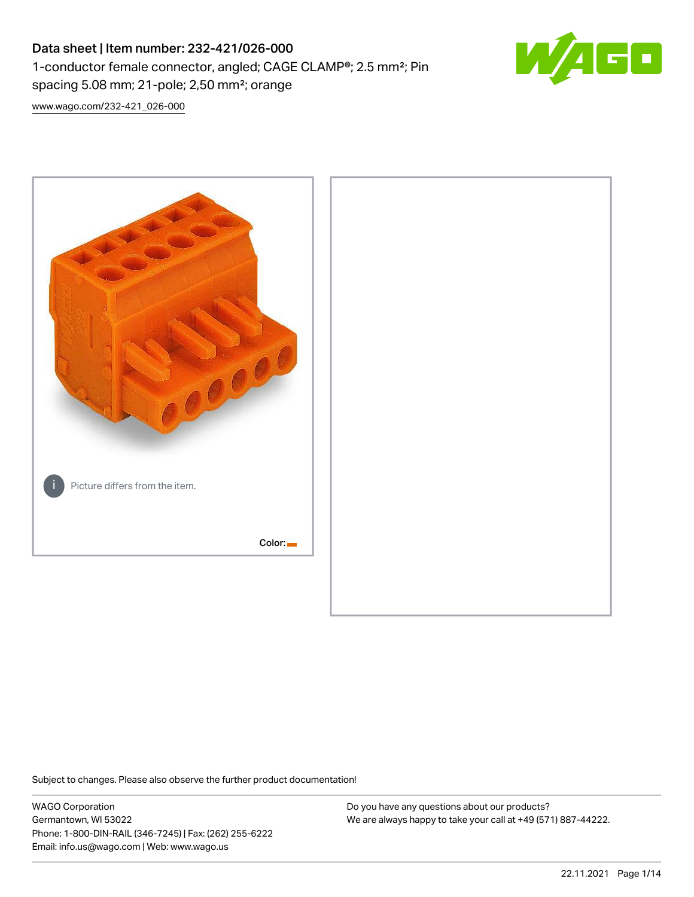# Data sheet | Item number: 232-421/026-000 1-conductor female connector, angled; CAGE CLAMP®; 2.5 mm²; Pin spacing 5.08 mm; 21-pole; 2,50 mm²; orange



[www.wago.com/232-421\\_026-000](http://www.wago.com/232-421_026-000)



Subject to changes. Please also observe the further product documentation!

WAGO Corporation Germantown, WI 53022 Phone: 1-800-DIN-RAIL (346-7245) | Fax: (262) 255-6222 Email: info.us@wago.com | Web: www.wago.us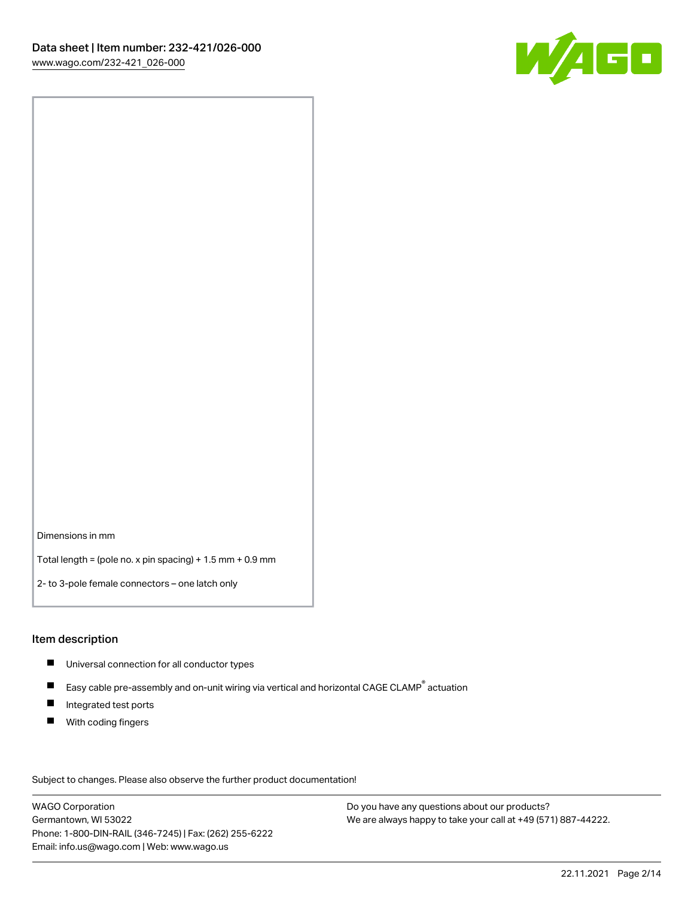

Dimensions in mm

Total length = (pole no. x pin spacing) + 1.5 mm + 0.9 mm

2- to 3-pole female connectors – one latch only

#### Item description

- **Universal connection for all conductor types**
- Easy cable pre-assembly and on-unit wiring via vertical and horizontal CAGE CLAMP<sup>®</sup> actuation  $\blacksquare$
- $\blacksquare$ Integrated test ports
- $\blacksquare$ With coding fingers

Subject to changes. Please also observe the further product documentation! Data

WAGO Corporation Germantown, WI 53022 Phone: 1-800-DIN-RAIL (346-7245) | Fax: (262) 255-6222 Email: info.us@wago.com | Web: www.wago.us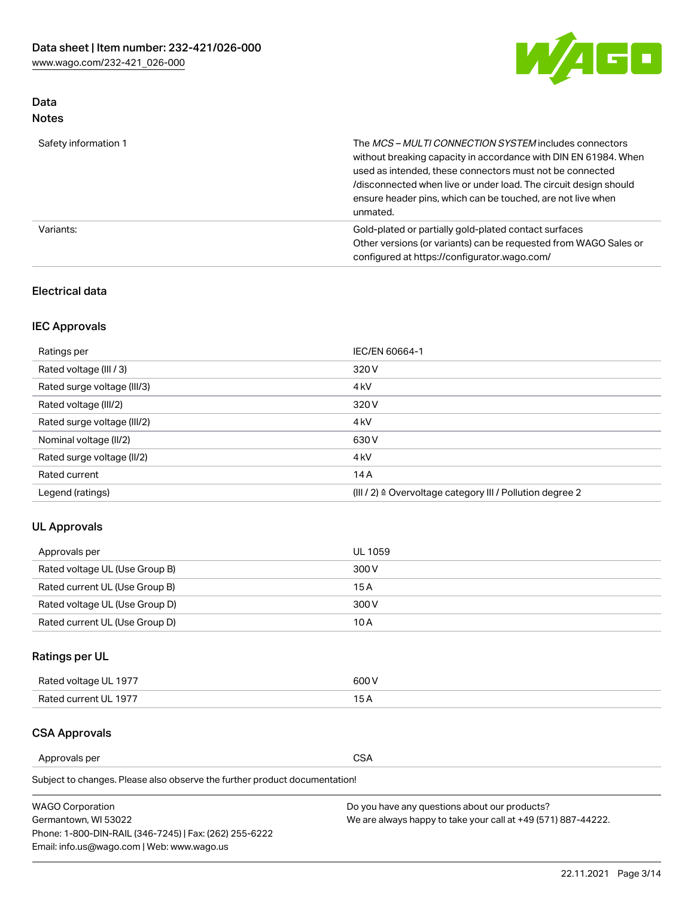

# Data Notes

| Safety information 1 | The <i>MCS – MULTI CONNECTION SYSTEM</i> includes connectors<br>without breaking capacity in accordance with DIN EN 61984. When<br>used as intended, these connectors must not be connected<br>/disconnected when live or under load. The circuit design should<br>ensure header pins, which can be touched, are not live when<br>unmated. |
|----------------------|--------------------------------------------------------------------------------------------------------------------------------------------------------------------------------------------------------------------------------------------------------------------------------------------------------------------------------------------|
| Variants:            | Gold-plated or partially gold-plated contact surfaces<br>Other versions (or variants) can be requested from WAGO Sales or<br>configured at https://configurator.wago.com/                                                                                                                                                                  |

## Electrical data

# IEC Approvals

| Ratings per                 | IEC/EN 60664-1                                                        |
|-----------------------------|-----------------------------------------------------------------------|
| Rated voltage (III / 3)     | 320 V                                                                 |
| Rated surge voltage (III/3) | 4 <sub>k</sub> V                                                      |
| Rated voltage (III/2)       | 320 V                                                                 |
| Rated surge voltage (III/2) | 4 <sub>k</sub> V                                                      |
| Nominal voltage (II/2)      | 630 V                                                                 |
| Rated surge voltage (II/2)  | 4 <sub>k</sub> V                                                      |
| Rated current               | 14A                                                                   |
| Legend (ratings)            | $(III / 2)$ $\triangle$ Overvoltage category III / Pollution degree 2 |

## UL Approvals

| Approvals per                  | UL 1059 |
|--------------------------------|---------|
| Rated voltage UL (Use Group B) | 300 V   |
| Rated current UL (Use Group B) | 15 A    |
| Rated voltage UL (Use Group D) | 300 V   |
| Rated current UL (Use Group D) | 10 A    |

# Ratings per UL

| Rated voltage UL 1977 | 300 V |
|-----------------------|-------|
| Rated current UL 1977 |       |

## CSA Approvals

Approvals per CSA

Subject to changes. Please also observe the further product documentation!

| <b>WAGO Corporation</b>                                | Do you have any questions about our products?                 |
|--------------------------------------------------------|---------------------------------------------------------------|
| Germantown, WI 53022                                   | We are always happy to take your call at +49 (571) 887-44222. |
| Phone: 1-800-DIN-RAIL (346-7245)   Fax: (262) 255-6222 |                                                               |
| Email: info.us@wago.com   Web: www.wago.us             |                                                               |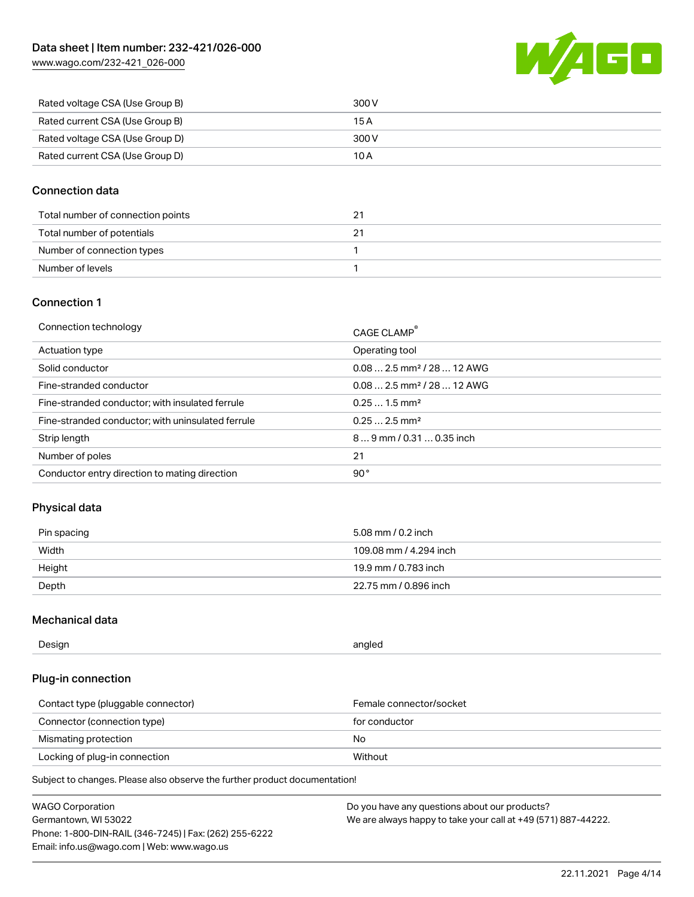

| Rated voltage CSA (Use Group B) | 300 V |
|---------------------------------|-------|
| Rated current CSA (Use Group B) | 15 A  |
| Rated voltage CSA (Use Group D) | 300 V |
| Rated current CSA (Use Group D) | 10 A  |

## Connection data

| Total number of connection points |  |
|-----------------------------------|--|
| Total number of potentials        |  |
| Number of connection types        |  |
| Number of levels                  |  |

## Connection 1

| Connection technology                             | CAGE CLAMP®                            |
|---------------------------------------------------|----------------------------------------|
| Actuation type                                    | Operating tool                         |
| Solid conductor                                   | $0.082.5$ mm <sup>2</sup> / 28  12 AWG |
| Fine-stranded conductor                           | $0.082.5$ mm <sup>2</sup> / 28  12 AWG |
| Fine-stranded conductor; with insulated ferrule   | $0.251.5$ mm <sup>2</sup>              |
| Fine-stranded conductor; with uninsulated ferrule | $0.252.5$ mm <sup>2</sup>              |
| Strip length                                      | $89$ mm $/ 0.310.35$ inch              |
| Number of poles                                   | 21                                     |
| Conductor entry direction to mating direction     | 90°                                    |

## Physical data

| Pin spacing | 5.08 mm / 0.2 inch     |
|-------------|------------------------|
| Width       | 109.08 mm / 4.294 inch |
| Height      | 19.9 mm / 0.783 inch   |
| Depth       | 22.75 mm / 0.896 inch  |

## Mechanical data

| Design<br>angled |  |
|------------------|--|
|------------------|--|

## Plug-in connection

| Contact type (pluggable connector) | Female connector/socket |
|------------------------------------|-------------------------|
| Connector (connection type)        | for conductor           |
| Mismating protection               | No                      |
| Locking of plug-in connection      | Without                 |

Subject to changes. Please also observe the further product documentation!

| <b>WAGO Corporation</b>                                | Do you have any questions about our products?                 |
|--------------------------------------------------------|---------------------------------------------------------------|
| Germantown, WI 53022                                   | We are always happy to take your call at +49 (571) 887-44222. |
| Phone: 1-800-DIN-RAIL (346-7245)   Fax: (262) 255-6222 |                                                               |
| Email: info.us@wago.com   Web: www.wago.us             |                                                               |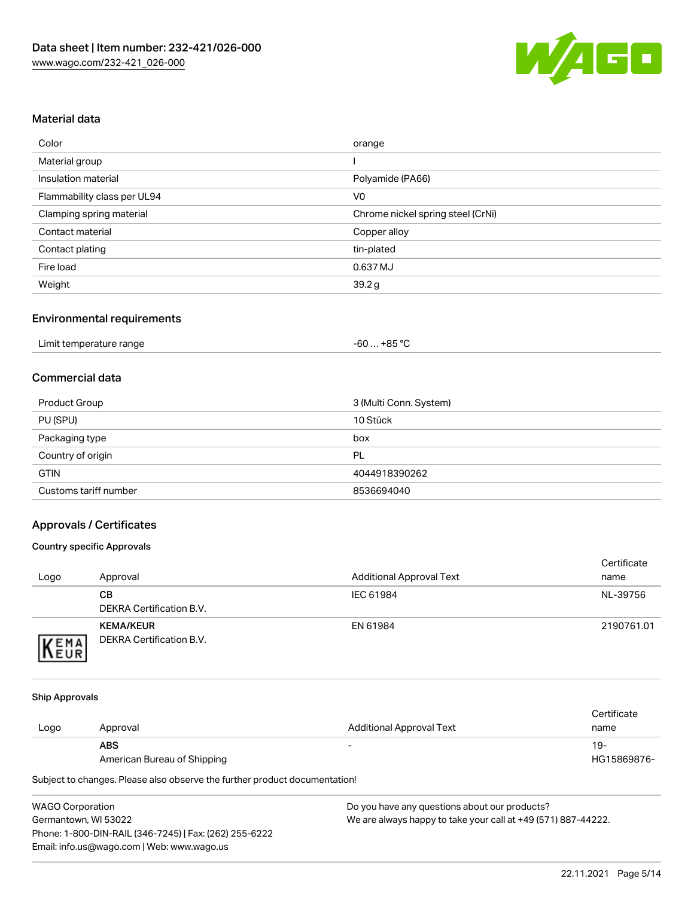

## Material data

| Color                       | orange                            |
|-----------------------------|-----------------------------------|
| Material group              |                                   |
| Insulation material         | Polyamide (PA66)                  |
| Flammability class per UL94 | V <sub>0</sub>                    |
| Clamping spring material    | Chrome nickel spring steel (CrNi) |
| Contact material            | Copper alloy                      |
| Contact plating             | tin-plated                        |
| Fire load                   | 0.637 MJ                          |
| Weight                      | 39.2 g                            |

## Environmental requirements

| Limit temperature range<br>. | +85 °ົ<br>-60 |  |
|------------------------------|---------------|--|
|------------------------------|---------------|--|

## Commercial data

| Product Group         | 3 (Multi Conn. System) |
|-----------------------|------------------------|
| PU (SPU)              | 10 Stück               |
| Packaging type        | box                    |
| Country of origin     | PL                     |
| <b>GTIN</b>           | 4044918390262          |
| Customs tariff number | 8536694040             |

## Approvals / Certificates

#### Country specific Approvals

| Logo                | Approval                                     | <b>Additional Approval Text</b> | Certificate<br>name |
|---------------------|----------------------------------------------|---------------------------------|---------------------|
|                     | CВ<br>DEKRA Certification B.V.               | IEC 61984                       | NL-39756            |
| EMA<br><b>INEUR</b> | <b>KEMA/KEUR</b><br>DEKRA Certification B.V. | EN 61984                        | 2190761.01          |

#### Ship Approvals

|      |                             |                          | Certificate |
|------|-----------------------------|--------------------------|-------------|
| Logo | Approval                    | Additional Approval Text | name        |
|      | <b>ABS</b>                  | $\overline{\phantom{0}}$ | 19-         |
|      | American Bureau of Shipping |                          | HG15869876- |

Subject to changes. Please also observe the further product documentation!

| <b>WAGO Corporation</b>                                | D |
|--------------------------------------------------------|---|
| Germantown, WI 53022                                   | w |
| Phone: 1-800-DIN-RAIL (346-7245)   Fax: (262) 255-6222 |   |
| Email: info.us@wago.com   Web: www.wago.us             |   |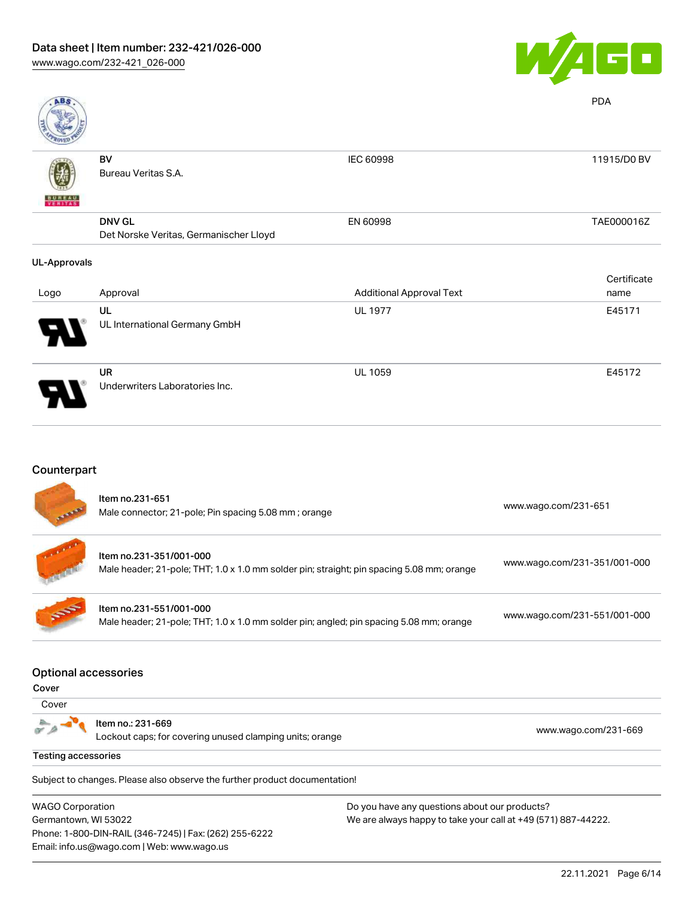

| A <sub>B</sub>           |                                        |                                 | <b>PDA</b>  |
|--------------------------|----------------------------------------|---------------------------------|-------------|
|                          | BV                                     | IEC 60998                       | 11915/D0 BV |
|                          | Bureau Veritas S.A.                    |                                 |             |
| <b>BUREAU</b><br>VERITAS |                                        |                                 |             |
|                          | <b>DNV GL</b>                          | EN 60998                        | TAE000016Z  |
|                          | Det Norske Veritas, Germanischer Lloyd |                                 |             |
| <b>UL-Approvals</b>      |                                        |                                 |             |
|                          |                                        |                                 | Certificate |
| Logo                     | Approval                               | <b>Additional Approval Text</b> | name        |
|                          | UL                                     | <b>UL 1977</b>                  | E45171      |
|                          | UL International Germany GmbH          |                                 |             |
|                          | <b>UR</b>                              | <b>UL 1059</b>                  | E45172      |
|                          | Underwriters Laboratories Inc.         |                                 |             |

# **Counterpart**

Email: info.us@wago.com | Web: www.wago.us

|                                      | Item no.231-651<br>Male connector; 21-pole; Pin spacing 5.08 mm; orange                                              |                                               | www.wago.com/231-651         |
|--------------------------------------|----------------------------------------------------------------------------------------------------------------------|-----------------------------------------------|------------------------------|
|                                      | Item no.231-351/001-000<br>Male header; 21-pole; THT; 1.0 x 1.0 mm solder pin; straight; pin spacing 5.08 mm; orange |                                               | www.wago.com/231-351/001-000 |
|                                      | Item no.231-551/001-000<br>Male header; 21-pole; THT; 1.0 x 1.0 mm solder pin; angled; pin spacing 5.08 mm; orange   |                                               | www.wago.com/231-551/001-000 |
| <b>Optional accessories</b><br>Cover |                                                                                                                      |                                               |                              |
| Cover                                |                                                                                                                      |                                               |                              |
|                                      | Item no.: 231-669<br>Lockout caps; for covering unused clamping units; orange                                        |                                               | www.wago.com/231-669         |
| <b>Testing accessories</b>           |                                                                                                                      |                                               |                              |
|                                      | Subject to changes. Please also observe the further product documentation!                                           |                                               |                              |
| <b>WAGO Corporation</b>              |                                                                                                                      | Do you have any questions about our products? |                              |
|                                      | Germantown, WI 53022<br>We are always happy to take your call at +49 (571) 887-44222.                                |                                               |                              |
|                                      | Phone: 1-800-DIN-RAIL (346-7245)   Fax: (262) 255-6222                                                               |                                               |                              |

22.11.2021 Page 6/14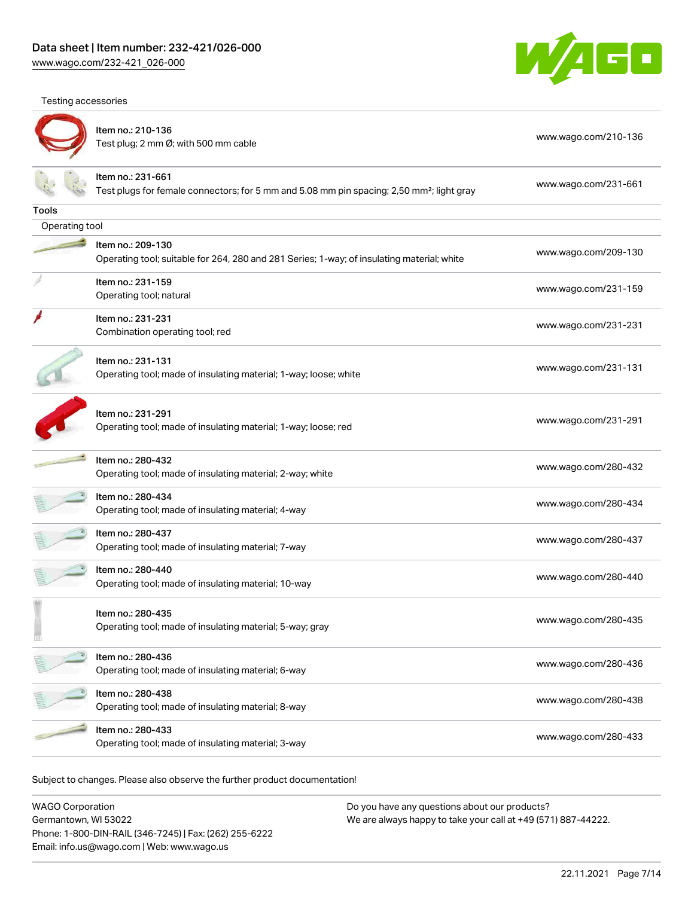Testing accessories



|                | Item no.: 210-136<br>Test plug; 2 mm Ø; with 500 mm cable                                                                  | www.wago.com/210-136 |
|----------------|----------------------------------------------------------------------------------------------------------------------------|----------------------|
|                | Item no.: 231-661<br>Test plugs for female connectors; for 5 mm and 5.08 mm pin spacing; 2,50 mm <sup>2</sup> ; light gray | www.wago.com/231-661 |
| Tools          |                                                                                                                            |                      |
| Operating tool |                                                                                                                            |                      |
|                | Item no.: 209-130<br>Operating tool; suitable for 264, 280 and 281 Series; 1-way; of insulating material; white            | www.wago.com/209-130 |
|                | Item no.: 231-159<br>Operating tool; natural                                                                               | www.wago.com/231-159 |
|                | Item no.: 231-231<br>Combination operating tool; red                                                                       | www.wago.com/231-231 |
|                | Item no.: 231-131<br>Operating tool; made of insulating material; 1-way; loose; white                                      | www.wago.com/231-131 |
|                | Item no.: 231-291<br>Operating tool; made of insulating material; 1-way; loose; red                                        | www.wago.com/231-291 |
|                | Item no.: 280-432<br>Operating tool; made of insulating material; 2-way; white                                             | www.wago.com/280-432 |
|                | Item no.: 280-434<br>Operating tool; made of insulating material; 4-way                                                    | www.wago.com/280-434 |
|                | Item no.: 280-437<br>Operating tool; made of insulating material; 7-way                                                    | www.wago.com/280-437 |
|                | Item no.: 280-440<br>Operating tool; made of insulating material; 10-way                                                   | www.wago.com/280-440 |
|                | Item no.: 280-435<br>Operating tool; made of insulating material; 5-way; gray                                              | www.wago.com/280-435 |
|                | Item no.: 280-436<br>Operating tool; made of insulating material; 6-way                                                    | www.wago.com/280-436 |
|                | Item no.: 280-438<br>Operating tool; made of insulating material; 8-way                                                    | www.wago.com/280-438 |
|                | Item no.: 280-433<br>Operating tool; made of insulating material; 3-way                                                    | www.wago.com/280-433 |

Subject to changes. Please also observe the further product documentation!

WAGO Corporation Germantown, WI 53022 Phone: 1-800-DIN-RAIL (346-7245) | Fax: (262) 255-6222 Email: info.us@wago.com | Web: www.wago.us Do you have any questions about our products? We are always happy to take your call at +49 (571) 887-44222.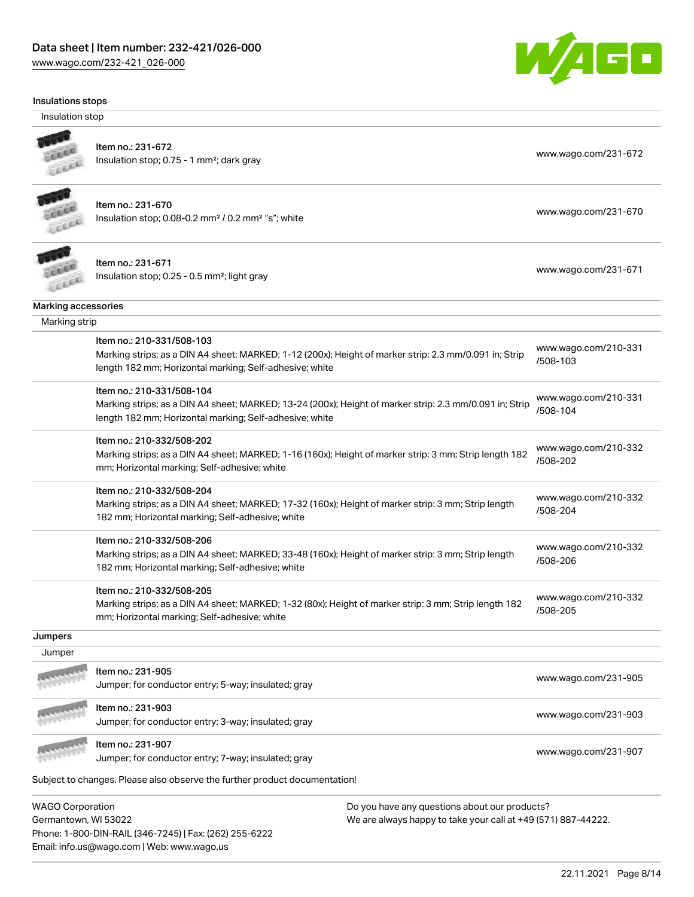

#### Insulations stops

Insulation stop



Item no.: 231-672

Insulation stop; 0.75 - 1 mm<sup>2</sup>; dark gray [www.wago.com/231-672](http://www.wago.com/231-672) www.wago.com/231-672



#### Item no.: 231-670

Insulation stop; 0.08-0.2 mm<sup>2</sup> / 0.2 mm<sup>2</sup> "s"; white [www.wago.com/231-670](http://www.wago.com/231-670) www.wago.com/231-670



Item no.: 231-671 Item ito... 231-071<br>Insulation stop; 0.25 - 0.5 mm²; light gray [www.wago.com/231-671](http://www.wago.com/231-671)

Marking accessories

|         | Item no.: 210-331/508-103                                                                                                                                          |                      |  |
|---------|--------------------------------------------------------------------------------------------------------------------------------------------------------------------|----------------------|--|
|         | Marking strips; as a DIN A4 sheet; MARKED; 1-12 (200x); Height of marker strip: 2.3 mm/0.091 in; Strip                                                             | www.wago.com/210-331 |  |
|         | length 182 mm; Horizontal marking; Self-adhesive; white                                                                                                            | /508-103             |  |
|         | Item no.: 210-331/508-104                                                                                                                                          | www.wago.com/210-331 |  |
|         | Marking strips; as a DIN A4 sheet; MARKED; 13-24 (200x); Height of marker strip: 2.3 mm/0.091 in; Strip<br>length 182 mm; Horizontal marking; Self-adhesive; white | /508-104             |  |
|         | Item no.: 210-332/508-202                                                                                                                                          | www.wago.com/210-332 |  |
|         | Marking strips; as a DIN A4 sheet; MARKED; 1-16 (160x); Height of marker strip: 3 mm; Strip length 182                                                             | /508-202             |  |
|         | mm; Horizontal marking; Self-adhesive; white                                                                                                                       |                      |  |
|         | Item no.: 210-332/508-204                                                                                                                                          | www.wago.com/210-332 |  |
|         | Marking strips; as a DIN A4 sheet; MARKED; 17-32 (160x); Height of marker strip: 3 mm; Strip length                                                                | /508-204             |  |
|         | 182 mm; Horizontal marking; Self-adhesive; white                                                                                                                   |                      |  |
|         | Item no.: 210-332/508-206                                                                                                                                          | www.wago.com/210-332 |  |
|         | Marking strips; as a DIN A4 sheet; MARKED; 33-48 (160x); Height of marker strip: 3 mm; Strip length                                                                | /508-206             |  |
|         | 182 mm; Horizontal marking; Self-adhesive; white                                                                                                                   |                      |  |
|         | Item no.: 210-332/508-205                                                                                                                                          | www.wago.com/210-332 |  |
|         | Marking strips; as a DIN A4 sheet; MARKED; 1-32 (80x); Height of marker strip: 3 mm; Strip length 182                                                              | /508-205             |  |
|         | mm; Horizontal marking; Self-adhesive; white                                                                                                                       |                      |  |
| Jumpers |                                                                                                                                                                    |                      |  |
| Jumper  |                                                                                                                                                                    |                      |  |
|         | Item no.: 231-905                                                                                                                                                  | www.wago.com/231-905 |  |
|         | Jumper; for conductor entry; 5-way; insulated; gray                                                                                                                |                      |  |
|         | Item no.: 231-903                                                                                                                                                  |                      |  |
|         | Jumper; for conductor entry; 3-way; insulated; gray                                                                                                                | www.wago.com/231-903 |  |
|         | Item no.: 231-907                                                                                                                                                  |                      |  |
|         | Jumper; for conductor entry; 7-way; insulated; gray                                                                                                                | www.wago.com/231-907 |  |
|         | Subject to changes. Please also observe the further product documentation!                                                                                         |                      |  |

WAGO Corporation Germantown, WI 53022 Phone: 1-800-DIN-RAIL (346-7245) | Fax: (262) 255-6222 Email: info.us@wago.com | Web: www.wago.us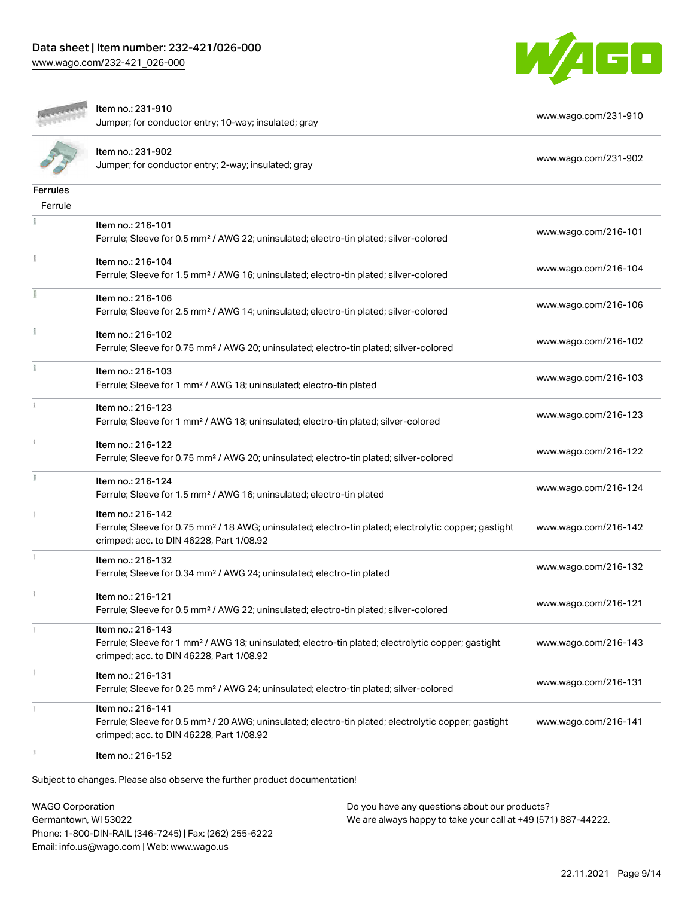



Item no.: 231-910 Jumper; for conductor entry; 10-way; insulated; gray [www.wago.com/231-910](http://www.wago.com/231-910)

[www.wago.com/231-902](http://www.wago.com/231-902)

|                 | Item no.: 231-902<br>Jumper; for conductor entry; 2-way; insulated; gray |
|-----------------|--------------------------------------------------------------------------|
| <b>Ferrules</b> |                                                                          |
| Ferrule         |                                                                          |
|                 |                                                                          |

|             | Item no.: 216-101                                                                                                                                             |                      |
|-------------|---------------------------------------------------------------------------------------------------------------------------------------------------------------|----------------------|
|             | Ferrule; Sleeve for 0.5 mm <sup>2</sup> / AWG 22; uninsulated; electro-tin plated; silver-colored                                                             | www.wago.com/216-101 |
| Ť.          | Item no.: 216-104                                                                                                                                             | www.wago.com/216-104 |
|             | Ferrule; Sleeve for 1.5 mm <sup>2</sup> / AWG 16; uninsulated; electro-tin plated; silver-colored                                                             |                      |
| Ē           | Item no.: 216-106                                                                                                                                             | www.wago.com/216-106 |
|             | Ferrule; Sleeve for 2.5 mm <sup>2</sup> / AWG 14; uninsulated; electro-tin plated; silver-colored                                                             |                      |
| Ĭ.          | Item no.: 216-102                                                                                                                                             | www.wago.com/216-102 |
|             | Ferrule; Sleeve for 0.75 mm <sup>2</sup> / AWG 20; uninsulated; electro-tin plated; silver-colored                                                            |                      |
|             | Item no.: 216-103                                                                                                                                             | www.wago.com/216-103 |
|             | Ferrule; Sleeve for 1 mm <sup>2</sup> / AWG 18; uninsulated; electro-tin plated                                                                               |                      |
| i.          | Item no.: 216-123                                                                                                                                             | www.wago.com/216-123 |
|             | Ferrule; Sleeve for 1 mm <sup>2</sup> / AWG 18; uninsulated; electro-tin plated; silver-colored                                                               |                      |
| ī.          | Item no.: 216-122                                                                                                                                             | www.wago.com/216-122 |
|             | Ferrule; Sleeve for 0.75 mm <sup>2</sup> / AWG 20; uninsulated; electro-tin plated; silver-colored                                                            |                      |
| I.          | Item no.: 216-124                                                                                                                                             | www.wago.com/216-124 |
|             | Ferrule; Sleeve for 1.5 mm <sup>2</sup> / AWG 16; uninsulated; electro-tin plated                                                                             |                      |
|             | Item no.: 216-142                                                                                                                                             |                      |
|             | Ferrule; Sleeve for 0.75 mm <sup>2</sup> / 18 AWG; uninsulated; electro-tin plated; electrolytic copper; gastight<br>crimped; acc. to DIN 46228, Part 1/08.92 | www.wago.com/216-142 |
|             | Item no.: 216-132                                                                                                                                             | www.wago.com/216-132 |
|             | Ferrule; Sleeve for 0.34 mm <sup>2</sup> / AWG 24; uninsulated; electro-tin plated                                                                            |                      |
| $\mathbf i$ | Item no.: 216-121                                                                                                                                             | www.wago.com/216-121 |
|             | Ferrule; Sleeve for 0.5 mm <sup>2</sup> / AWG 22; uninsulated; electro-tin plated; silver-colored                                                             |                      |
|             | Item no.: 216-143                                                                                                                                             |                      |
|             | Ferrule; Sleeve for 1 mm <sup>2</sup> / AWG 18; uninsulated; electro-tin plated; electrolytic copper; gastight<br>crimped; acc. to DIN 46228, Part 1/08.92    | www.wago.com/216-143 |
| 1           | Item no.: 216-131                                                                                                                                             |                      |
|             | Ferrule; Sleeve for 0.25 mm <sup>2</sup> / AWG 24; uninsulated; electro-tin plated; silver-colored                                                            | www.wago.com/216-131 |
|             | Item no.: 216-141                                                                                                                                             |                      |
|             | Ferrule; Sleeve for 0.5 mm <sup>2</sup> / 20 AWG; uninsulated; electro-tin plated; electrolytic copper; gastight<br>crimped; acc. to DIN 46228, Part 1/08.92  | www.wago.com/216-141 |
|             | ltem no.: 216-152                                                                                                                                             |                      |

Subject to changes. Please also observe the further product documentation!

WAGO Corporation Germantown, WI 53022 Phone: 1-800-DIN-RAIL (346-7245) | Fax: (262) 255-6222 Email: info.us@wago.com | Web: www.wago.us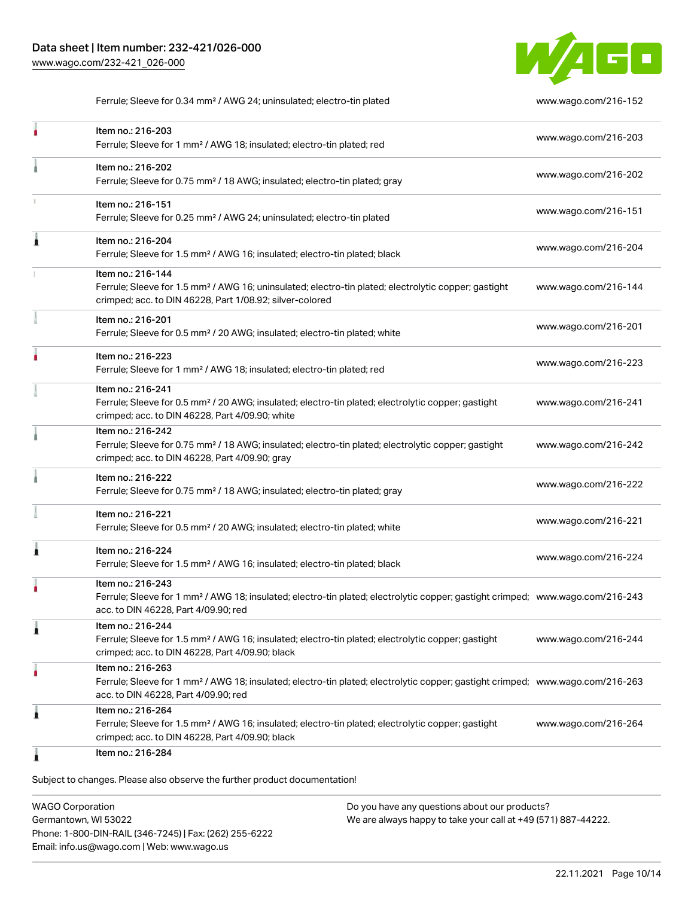

Ferrule; Sleeve for 0.34 mm² / AWG 24; uninsulated; electro-tin plated [www.wago.com/216-152](http://www.wago.com/216-152)

| Item no.: 216-203<br>Ferrule; Sleeve for 1 mm <sup>2</sup> / AWG 18; insulated; electro-tin plated; red                                                                                                 | www.wago.com/216-203 |
|---------------------------------------------------------------------------------------------------------------------------------------------------------------------------------------------------------|----------------------|
| Item no.: 216-202<br>Ferrule; Sleeve for 0.75 mm <sup>2</sup> / 18 AWG; insulated; electro-tin plated; gray                                                                                             | www.wago.com/216-202 |
| Item no.: 216-151<br>Ferrule; Sleeve for 0.25 mm <sup>2</sup> / AWG 24; uninsulated; electro-tin plated                                                                                                 | www.wago.com/216-151 |
| Item no.: 216-204<br>Ferrule; Sleeve for 1.5 mm <sup>2</sup> / AWG 16; insulated; electro-tin plated; black                                                                                             | www.wago.com/216-204 |
| Item no.: 216-144<br>Ferrule; Sleeve for 1.5 mm <sup>2</sup> / AWG 16; uninsulated; electro-tin plated; electrolytic copper; gastight<br>crimped; acc. to DIN 46228, Part 1/08.92; silver-colored       | www.wago.com/216-144 |
| Item no.: 216-201<br>Ferrule; Sleeve for 0.5 mm <sup>2</sup> / 20 AWG; insulated; electro-tin plated; white                                                                                             | www.wago.com/216-201 |
| Item no.: 216-223<br>Ferrule; Sleeve for 1 mm <sup>2</sup> / AWG 18; insulated; electro-tin plated; red                                                                                                 | www.wago.com/216-223 |
| Item no.: 216-241<br>Ferrule; Sleeve for 0.5 mm <sup>2</sup> / 20 AWG; insulated; electro-tin plated; electrolytic copper; gastight<br>crimped; acc. to DIN 46228, Part 4/09.90; white                  | www.wago.com/216-241 |
| Item no.: 216-242<br>Ferrule; Sleeve for 0.75 mm <sup>2</sup> / 18 AWG; insulated; electro-tin plated; electrolytic copper; gastight<br>crimped; acc. to DIN 46228, Part 4/09.90; gray                  | www.wago.com/216-242 |
| Item no.: 216-222<br>Ferrule; Sleeve for 0.75 mm <sup>2</sup> / 18 AWG; insulated; electro-tin plated; gray                                                                                             | www.wago.com/216-222 |
| Item no.: 216-221<br>Ferrule; Sleeve for 0.5 mm <sup>2</sup> / 20 AWG; insulated; electro-tin plated; white                                                                                             | www.wago.com/216-221 |
| Item no.: 216-224<br>Ferrule; Sleeve for 1.5 mm <sup>2</sup> / AWG 16; insulated; electro-tin plated; black                                                                                             | www.wago.com/216-224 |
| Item no.: 216-243<br>Ferrule; Sleeve for 1 mm <sup>2</sup> / AWG 18; insulated; electro-tin plated; electrolytic copper; gastight crimped; www.wago.com/216-243<br>acc. to DIN 46228, Part 4/09.90; red |                      |
| Item no.: 216-244<br>Ferrule; Sleeve for 1.5 mm <sup>2</sup> / AWG 16; insulated; electro-tin plated; electrolytic copper; gastight<br>crimped; acc. to DIN 46228, Part 4/09.90; black                  | www.wago.com/216-244 |
| Item no.: 216-263<br>Ferrule; Sleeve for 1 mm <sup>2</sup> / AWG 18; insulated; electro-tin plated; electrolytic copper; gastight crimped; www.wago.com/216-263<br>acc. to DIN 46228, Part 4/09.90; red |                      |
| Item no.: 216-264<br>Ferrule; Sleeve for 1.5 mm <sup>2</sup> / AWG 16; insulated; electro-tin plated; electrolytic copper; gastight<br>crimped; acc. to DIN 46228, Part 4/09.90; black                  | www.wago.com/216-264 |
| Item no.: 216-284                                                                                                                                                                                       |                      |

WAGO Corporation Germantown, WI 53022 Phone: 1-800-DIN-RAIL (346-7245) | Fax: (262) 255-6222 Email: info.us@wago.com | Web: www.wago.us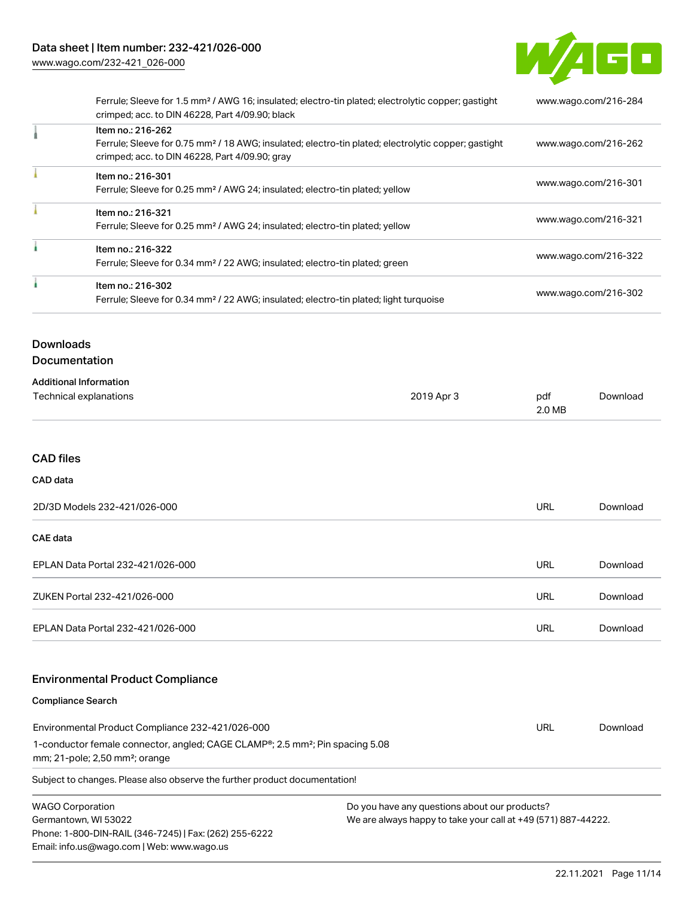

[Download](https://www.wago.com/global/d/1435602)

|  | Ferrule; Sleeve for 1.5 mm <sup>2</sup> / AWG 16; insulated; electro-tin plated; electrolytic copper; gastight<br>crimped; acc. to DIN 46228, Part 4/09.90; black | www.wago.com/216-284 |  |
|--|-------------------------------------------------------------------------------------------------------------------------------------------------------------------|----------------------|--|
|  | Item no.: 216-262                                                                                                                                                 |                      |  |
|  | Ferrule; Sleeve for 0.75 mm <sup>2</sup> / 18 AWG; insulated; electro-tin plated; electrolytic copper; gastight<br>crimped; acc. to DIN 46228, Part 4/09.90; gray | www.wago.com/216-262 |  |
|  | Item no.: 216-301                                                                                                                                                 |                      |  |
|  | Ferrule; Sleeve for 0.25 mm <sup>2</sup> / AWG 24; insulated; electro-tin plated; yellow                                                                          | www.wago.com/216-301 |  |
|  | Item no.: 216-321                                                                                                                                                 |                      |  |
|  | Ferrule; Sleeve for 0.25 mm <sup>2</sup> / AWG 24; insulated; electro-tin plated; yellow                                                                          | www.wago.com/216-321 |  |
|  | Item no.: 216-322                                                                                                                                                 |                      |  |
|  | Ferrule; Sleeve for 0.34 mm <sup>2</sup> / 22 AWG; insulated; electro-tin plated; green                                                                           | www.wago.com/216-322 |  |
|  | Item no.: 216-302                                                                                                                                                 |                      |  |
|  | Ferrule; Sleeve for 0.34 mm <sup>2</sup> / 22 AWG; insulated; electro-tin plated; light turquoise                                                                 | www.wago.com/216-302 |  |

## **Downloads** Documentation

| <b>Additional Information</b> |            |        |
|-------------------------------|------------|--------|
| Technical explanations        | 2019 Apr 3 | pdf    |
|                               |            | 2.0 MB |

### CAD files

## CAD data

| 2D/3D Models 232-421/026-000      |     | Download |
|-----------------------------------|-----|----------|
| <b>CAE data</b>                   |     |          |
| EPLAN Data Portal 232-421/026-000 | URL | Download |
| ZUKEN Portal 232-421/026-000      | URL | Download |
| EPLAN Data Portal 232-421/026-000 | URL | Download |

## Environmental Product Compliance

#### Compliance Search

| Subject to changes. Please also observe the further product documentation!                             |     |          |  |  |  |
|--------------------------------------------------------------------------------------------------------|-----|----------|--|--|--|
| $mm; 21-pole; 2,50; mm^2; or anq$                                                                      |     |          |  |  |  |
| 1-conductor female connector, angled; CAGE CLAMP <sup>®</sup> ; 2.5 mm <sup>2</sup> ; Pin spacing 5.08 |     |          |  |  |  |
| Environmental Product Compliance 232-421/026-000                                                       | URL | Download |  |  |  |

WAGO Corporation Germantown, WI 53022 Phone: 1-800-DIN-RAIL (346-7245) | Fax: (262) 255-6222 Email: info.us@wago.com | Web: www.wago.us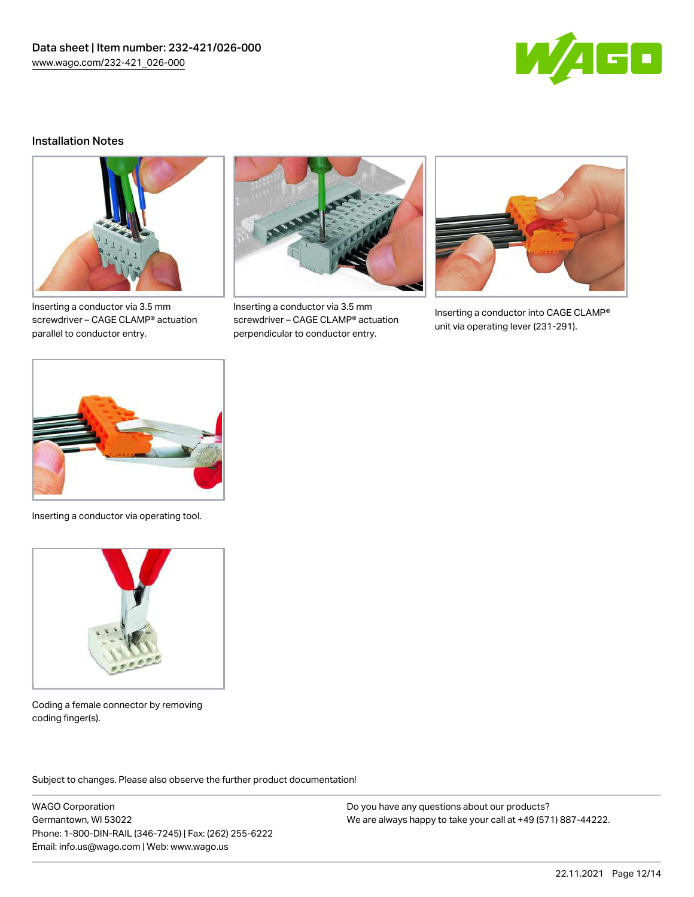

### Installation Notes



Inserting a conductor via 3.5 mm screwdriver – CAGE CLAMP® actuation parallel to conductor entry.



Inserting a conductor via 3.5 mm screwdriver – CAGE CLAMP® actuation perpendicular to conductor entry.



Inserting a conductor into CAGE CLAMP® unit via operating lever (231-291).



Inserting a conductor via operating tool.



Coding a female connector by removing coding finger(s).

Subject to changes. Please also observe the further product documentation!

WAGO Corporation Germantown, WI 53022 Phone: 1-800-DIN-RAIL (346-7245) | Fax: (262) 255-6222 Email: info.us@wago.com | Web: www.wago.us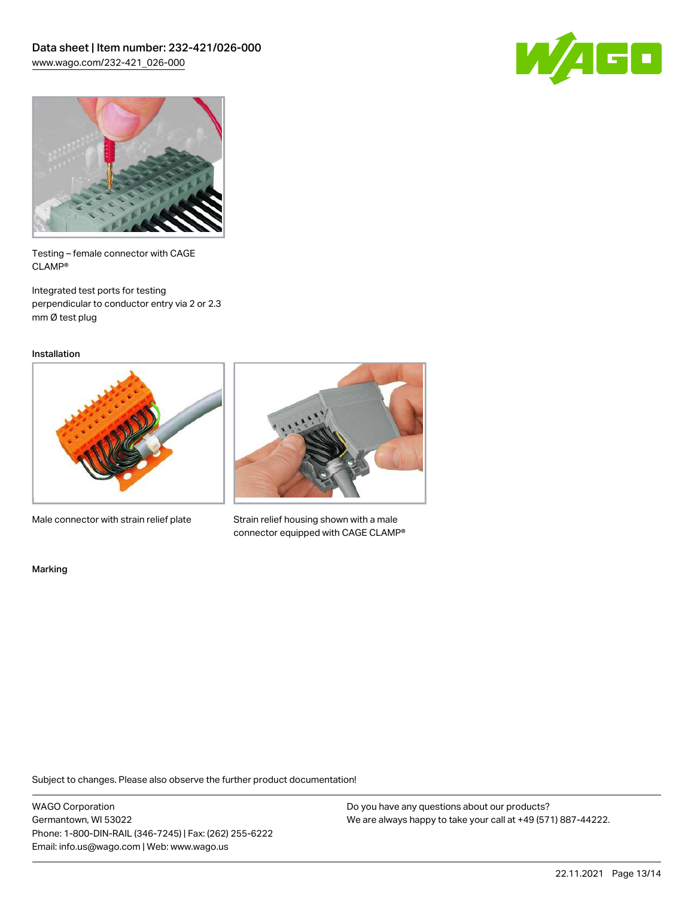



Testing – female connector with CAGE CLAMP®

Integrated test ports for testing perpendicular to conductor entry via 2 or 2.3 mm Ø test plug

Installation



Male connector with strain relief plate



Strain relief housing shown with a male connector equipped with CAGE CLAMP®

Marking

Subject to changes. Please also observe the further product documentation!

WAGO Corporation Germantown, WI 53022 Phone: 1-800-DIN-RAIL (346-7245) | Fax: (262) 255-6222 Email: info.us@wago.com | Web: www.wago.us